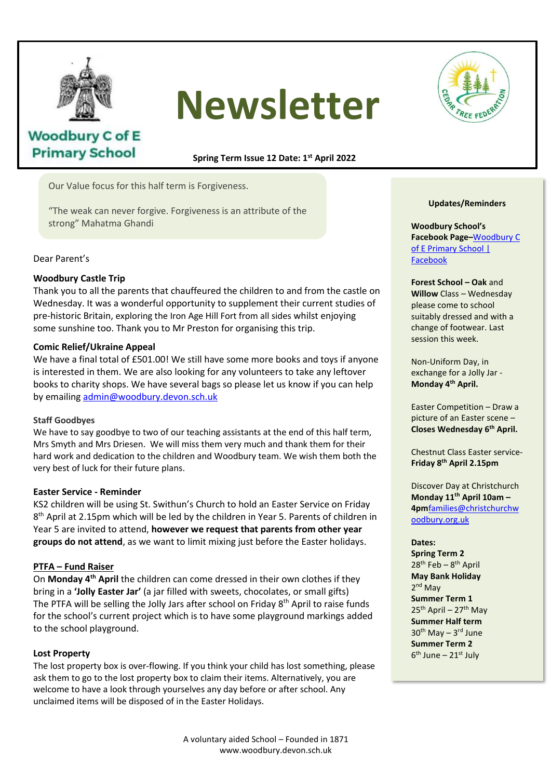

# **Newsletter**



# **Woodbury C of E Primary School**

**Spring Term Issue 12 Date: 1 st April 2022**

Our Value focus for this half term is Forgiveness.

"The weak can never forgive. Forgiveness is an attribute of the strong" Mahatma Ghandi

Dear Parent's

## **Woodbury Castle Trip**

Thank you to all the parents that chauffeured the children to and from the castle on Wednesday. It was a wonderful opportunity to supplement their current studies of pre-historic Britain, exploring the Iron Age Hill Fort from all sides whilst enjoying some sunshine too. Thank you to Mr Preston for organising this trip.

## **Comic Relief/Ukraine Appeal**

We have a final total of £501.00! We still have some more books and toys if anyone is interested in them. We gap also leaking for any unless that any left area. is interested in them. We are also looking for any volunteers to take any leftover books to charity shops. We have several bags so please let us know if you can help<br>by amailing admin@waadhunydovan.cab.uk by emailing [admin@woodbury.devon.sch.uk](mailto:admin@woodbury.devon.sch.uk)

#### **Staff Goodbyes** f Goodbyes.

We have to say goodbye to two of our teaching assistants at the end of this half term, Mrs Smyth and Mrs Driesen. We will miss them very much and thank them for their hard work and dedication to the children and Woodbury team. We wish them both the very best of luck for their future plans.

## **Easter Service - Reminder**

KS2 children will be using St. Swithun's Church to hold an Easter Service on Friday 8<sup>th</sup> April at 2.15pm which will be led by the children in Year 5. Parents of children in Year 5 are invited to attend, **however we request that parents from other year groups do not attend**, as we want to limit mixing just before the Easter holidays.

# **PTFA – Fund Raiser**

On **Monday 4th April** the children can come dressed in their own clothes if they bring in a **'Jolly Easter Jar'** (a jar filled with sweets, chocolates, or small gifts) The PTFA will be selling the Jolly Jars after school on Friday 8<sup>th</sup> April to raise funds for the school's current project which is to have some playground markings added to the school playground.

## **Lost Property**

The lost property box is over-flowing. If you think your child has lost something, please ask them to go to the lost property box to claim their items. Alternatively, you are welcome to have a look through yourselves any day before or after school. Any unclaimed items will be disposed of in the Easter Holidays.

#### **Updates/Reminders**

**Woodbury School's Facebook Page–**[Woodbury C](https://www.facebook.com/people/Woodbury-C-of-E-Primary-School/100063490359733/)  [of E Primary School |](https://www.facebook.com/people/Woodbury-C-of-E-Primary-School/100063490359733/)  [Facebook](https://www.facebook.com/people/Woodbury-C-of-E-Primary-School/100063490359733/)

**Forest School – Oak** and **Willow** Class – Wednesday please come to school suitably dressed and with a change of footwear. Last session this week.

Non-Uniform Day, in exchange for a Jolly Jar - **Monday 4th April.**

Easter Competition – Draw a picture of an Easter scene – **Closes Wednesday 6th April.**

Chestnut Class Easter service-**Friday 8th April 2.15pm**

Discover Day at Christchurch **Monday 11th April 10am – 4pm**[families@christchurchw](mailto:families@christchurchwoodbury.org.uk) [oodbury.org.uk](mailto:families@christchurchwoodbury.org.uk)

#### **Dates:**

**Spring Term 2** 28<sup>th</sup> Feb - 8<sup>th</sup> April **May Bank Holiday** 2<sup>nd</sup> May **Summer Term 1**  $25<sup>th</sup>$  April – 27<sup>th</sup> May **Summer Half term** 30<sup>th</sup> May - 3<sup>rd</sup> June **Summer Term 2** 6<sup>th</sup> June – 21st July